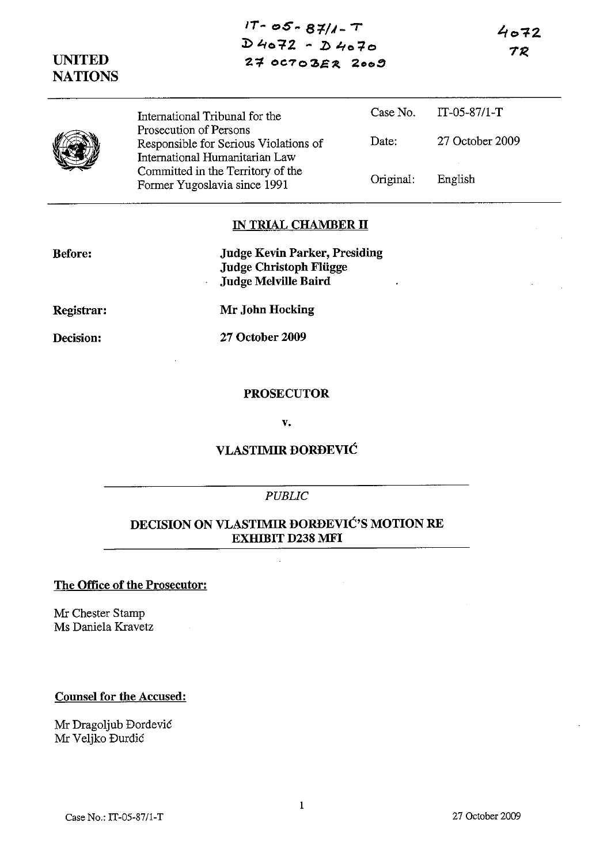| UNITED<br><b>NATIONS</b> | $17 - 05 - 87/1 - T$<br>$D4072 - D4070$<br>27003ER2009                                                                                                                 | 4072<br>TR |                 |
|--------------------------|------------------------------------------------------------------------------------------------------------------------------------------------------------------------|------------|-----------------|
|                          | International Tribunal for the                                                                                                                                         | Case No.   | $IT-05-87/1-T$  |
|                          | Prosecution of Persons<br>Responsible for Serious Violations of<br>International Humanitarian Law<br>Committed in the Territory of the<br>Former Yugoslavia since 1991 | Date:      | 27 October 2009 |
|                          |                                                                                                                                                                        | Original:  | English         |
|                          | IN TRIAL CHAMBER II                                                                                                                                                    |            |                 |

|  | <b>Judge Kevin Parker, Presiding</b> |
|--|--------------------------------------|

**Judge Christoph Fliigge Judge Melville Baird** 

**Registrar:** 

**Before:** 

**Decision:** 

**Mr John Hocking** 

**27 October 2009** 

#### **PROSECUTOR**

**v.** 

# **VLASTIMIR DORDEVIC**

#### *PUBLIC*

## **DECISION ON VLASTIMIR DORDEVIC'S MOTION RE EXHIBIT D238 MFI**

### **The Office of the Prosecutor:**

Mr Chester Stamp Ms Daniela Kravetz

### **Counsel for the Accused:**

Mr Dragoljub Dordevic Mr Veljko Durdic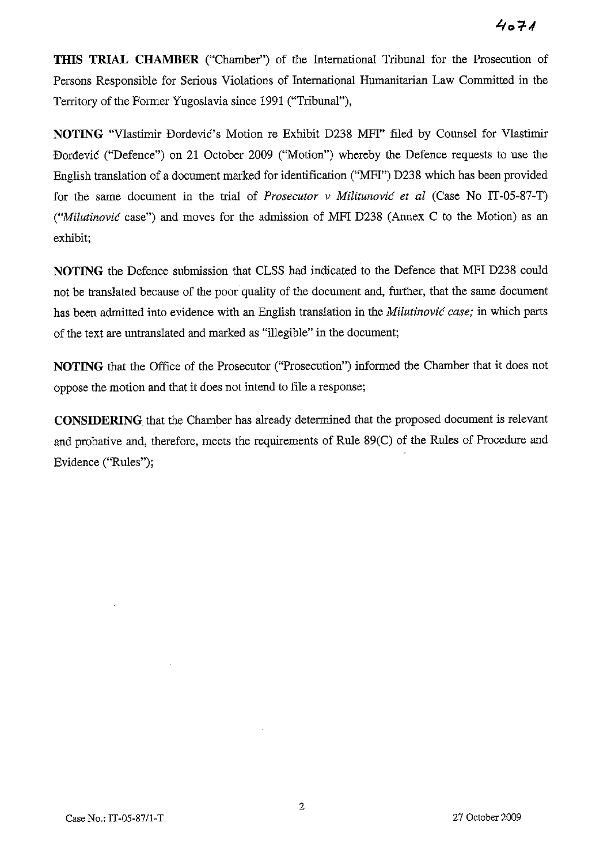**THIS TRIAL CHAMBER** ("Chamber") of the International Tribunal for the Prosecution of Persons Responsible for Serious Violations of International Humanitarian Law Committed in the Territory of the Former Yugoslavia since 1991 ("Tribunal"),

**NOTING** "Vlastimir Đorđević's Motion re Exhibit D238 MFI" filed by Counsel for Vlastimir Dordevic ("Defence") on 21 October 2009 ("Motion") whereby the Defence requests to use the English translation of a document marked for identification ("MFI") D238 which has been provided for the same document in the trial of *Prosecutor* v *Militunovic et al* (Case No IT-05-87-T) *("Milutinovic* case") and moves for the admission of MFI D238 (Annex C to the Motion) as an exhibit;

**NOTING** the Defence submission that CLSS had indicated to the Defence that MFI D238 could not be translated because of the poor quality of the document and, further, that the same document has been admitted into evidence with an English translation in the *Milutinovic case;* in which parts of the text are untranslated and marked as "illegible" in the document;

**NOTING** that the Office of the Prosecutor ("Prosecution") informed the Chamber that it does not oppose the motion and that it does not intend to file a response;

**CONSIDERING** that the Chamber has already determined that the proposed document is relevant and probative and, therefore, meets the requirements of Rule 89(C) of the Rules of Procedure and Evidence ("Rules");